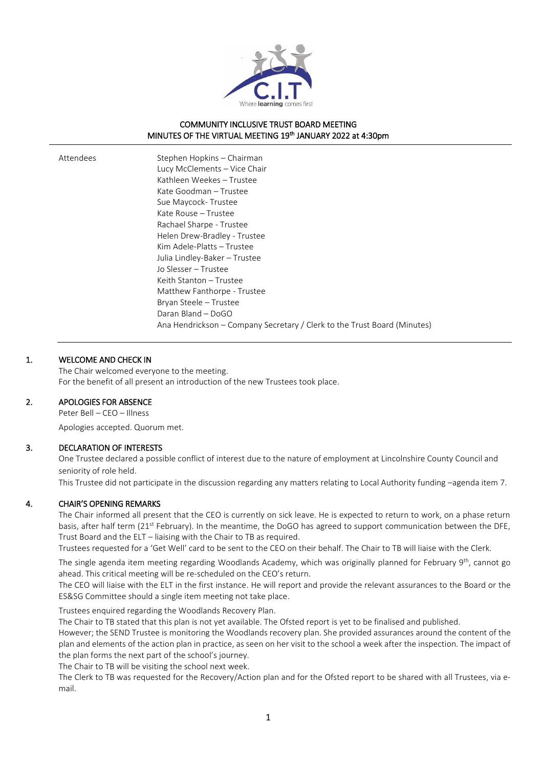

## COMMUNITY INCLUSIVE TRUST BOARD MEETING MINUTES OF THE VIRTUAL MEETING 19<sup>th</sup> JANUARY 2022 at 4:30pm

| Attendees | Stephen Hopkins - Chairman                                               |
|-----------|--------------------------------------------------------------------------|
|           | Lucy McClements - Vice Chair                                             |
|           | Kathleen Weekes - Trustee                                                |
|           | Kate Goodman – Trustee                                                   |
|           | Sue Maycock-Trustee                                                      |
|           | Kate Rouse - Trustee                                                     |
|           | Rachael Sharpe - Trustee                                                 |
|           | Helen Drew-Bradley - Trustee                                             |
|           | Kim Adele-Platts - Trustee                                               |
|           | Julia Lindley-Baker – Trustee                                            |
|           | Jo Slesser - Trustee                                                     |
|           | Keith Stanton – Trustee                                                  |
|           | Matthew Fanthorpe - Trustee                                              |
|           | Bryan Steele - Trustee                                                   |
|           | Daran Bland - DoGO                                                       |
|           | Ana Hendrickson – Company Secretary / Clerk to the Trust Board (Minutes) |
|           |                                                                          |

## 1. WELCOME AND CHECK IN

The Chair welcomed everyone to the meeting. For the benefit of all present an introduction of the new Trustees took place.

#### 2. APOLOGIES FOR ABSENCE

Peter Bell – CEO – Illness

Apologies accepted. Quorum met.

#### 3. DECLARATION OF INTERESTS

One Trustee declared a possible conflict of interest due to the nature of employment at Lincolnshire County Council and seniority of role held.

This Trustee did not participate in the discussion regarding any matters relating to Local Authority funding –agenda item 7.

## 4. CHAIR'S OPENING REMARKS

The Chair informed all present that the CEO is currently on sick leave. He is expected to return to work, on a phase return basis, after half term (21<sup>st</sup> February). In the meantime, the DoGO has agreed to support communication between the DFE, Trust Board and the ELT – liaising with the Chair to TB as required.

Trustees requested for a 'Get Well' card to be sent to the CEO on their behalf. The Chair to TB will liaise with the Clerk.

The single agenda item meeting regarding Woodlands Academy, which was originally planned for February 9th, cannot go ahead. This critical meeting will be re-scheduled on the CEO's return.

The CEO will liaise with the ELT in the first instance. He will report and provide the relevant assurances to the Board or the ES&SG Committee should a single item meeting not take place.

Trustees enquired regarding the Woodlands Recovery Plan.

The Chair to TB stated that this plan is not yet available. The Ofsted report is yet to be finalised and published.

However; the SEND Trustee is monitoring the Woodlands recovery plan. She provided assurances around the content of the plan and elements of the action plan in practice, as seen on her visit to the school a week after the inspection. The impact of the plan forms the next part of the school's journey.

The Chair to TB will be visiting the school next week.

The Clerk to TB was requested for the Recovery/Action plan and for the Ofsted report to be shared with all Trustees, via email.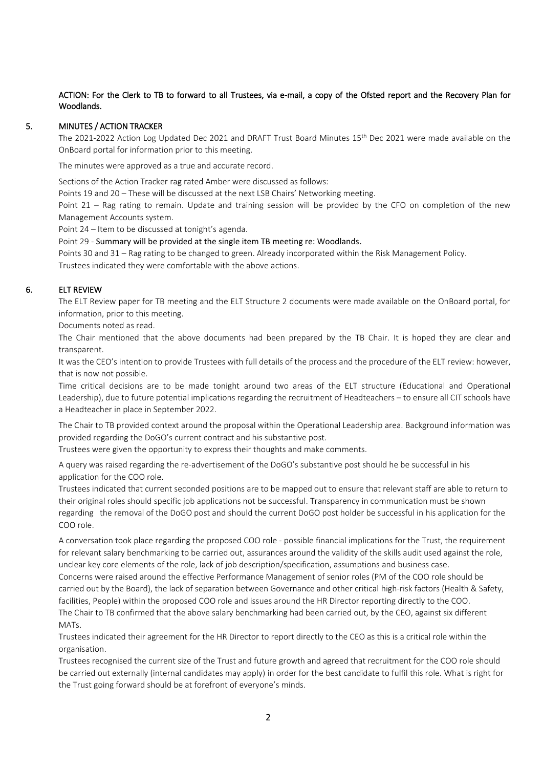## ACTION: For the Clerk to TB to forward to all Trustees, via e-mail, a copy of the Ofsted report and the Recovery Plan for Woodlands.

### 5. MINUTES / ACTION TRACKER

The 2021-2022 Action Log Updated Dec 2021 and DRAFT Trust Board Minutes 15th Dec 2021 were made available on the OnBoard portal for information prior to this meeting.

The minutes were approved as a true and accurate record.

Sections of the Action Tracker rag rated Amber were discussed as follows:

Points 19 and 20 – These will be discussed at the next LSB Chairs' Networking meeting.

Point 21 – Rag rating to remain. Update and training session will be provided by the CFO on completion of the new Management Accounts system.

Point 24 – Item to be discussed at tonight's agenda.

Point 29 - Summary will be provided at the single item TB meeting re: Woodlands.

Points 30 and 31 – Rag rating to be changed to green. Already incorporated within the Risk Management Policy. Trustees indicated they were comfortable with the above actions.

## 6. ELT REVIEW

The ELT Review paper for TB meeting and the ELT Structure 2 documents were made available on the OnBoard portal, for information, prior to this meeting.

Documents noted as read.

The Chair mentioned that the above documents had been prepared by the TB Chair. It is hoped they are clear and transparent.

It was the CEO's intention to provide Trustees with full details of the process and the procedure of the ELT review: however, that is now not possible.

Time critical decisions are to be made tonight around two areas of the ELT structure (Educational and Operational Leadership), due to future potential implications regarding the recruitment of Headteachers – to ensure all CIT schools have a Headteacher in place in September 2022.

The Chair to TB provided context around the proposal within the Operational Leadership area. Background information was provided regarding the DoGO's current contract and his substantive post.

Trustees were given the opportunity to express their thoughts and make comments.

A query was raised regarding the re-advertisement of the DoGO's substantive post should he be successful in his application for the COO role.

Trustees indicated that current seconded positions are to be mapped out to ensure that relevant staff are able to return to their original roles should specific job applications not be successful. Transparency in communication must be shown regarding the removal of the DoGO post and should the current DoGO post holder be successful in his application for the COO role.

A conversation took place regarding the proposed COO role - possible financial implications for the Trust, the requirement for relevant salary benchmarking to be carried out, assurances around the validity of the skills audit used against the role, unclear key core elements of the role, lack of job description/specification, assumptions and business case.

Concerns were raised around the effective Performance Management of senior roles (PM of the COO role should be carried out by the Board), the lack of separation between Governance and other critical high-risk factors (Health & Safety, facilities, People) within the proposed COO role and issues around the HR Director reporting directly to the COO. The Chair to TB confirmed that the above salary benchmarking had been carried out, by the CEO, against six different MATs.

Trustees indicated their agreement for the HR Director to report directly to the CEO as this is a critical role within the organisation.

Trustees recognised the current size of the Trust and future growth and agreed that recruitment for the COO role should be carried out externally (internal candidates may apply) in order for the best candidate to fulfil this role. What is right for the Trust going forward should be at forefront of everyone's minds.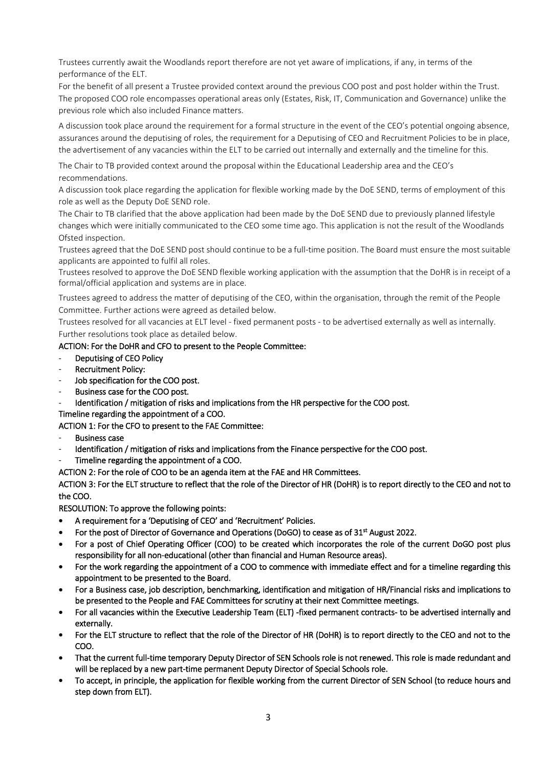Trustees currently await the Woodlands report therefore are not yet aware of implications, if any, in terms of the performance of the ELT.

For the benefit of all present a Trustee provided context around the previous COO post and post holder within the Trust. The proposed COO role encompasses operational areas only (Estates, Risk, IT, Communication and Governance) unlike the previous role which also included Finance matters.

A discussion took place around the requirement for a formal structure in the event of the CEO's potential ongoing absence, assurances around the deputising of roles, the requirement for a Deputising of CEO and Recruitment Policies to be in place, the advertisement of any vacancies within the ELT to be carried out internally and externally and the timeline for this.

The Chair to TB provided context around the proposal within the Educational Leadership area and the CEO's recommendations.

A discussion took place regarding the application for flexible working made by the DoE SEND, terms of employment of this role as well as the Deputy DoE SEND role.

The Chair to TB clarified that the above application had been made by the DoE SEND due to previously planned lifestyle changes which were initially communicated to the CEO some time ago. This application is not the result of the Woodlands Ofsted inspection.

Trustees agreed that the DoE SEND post should continue to be a full-time position. The Board must ensure the most suitable applicants are appointed to fulfil all roles.

Trustees resolved to approve the DoE SEND flexible working application with the assumption that the DoHR is in receipt of a formal/official application and systems are in place.

Trustees agreed to address the matter of deputising of the CEO, within the organisation, through the remit of the People Committee. Further actions were agreed as detailed below.

Trustees resolved for all vacancies at ELT level - fixed permanent posts - to be advertised externally as well as internally. Further resolutions took place as detailed below.

## ACTION: For the DoHR and CFO to present to the People Committee:

- Deputising of CEO Policy
- Recruitment Policy:
- Job specification for the COO post.
- Business case for the COO post.
- Identification / mitigation of risks and implications from the HR perspective for the COO post.

Timeline regarding the appointment of a COO.

ACTION 1: For the CFO to present to the FAE Committee:

- Business case
- Identification / mitigation of risks and implications from the Finance perspective for the COO post.
- Timeline regarding the appointment of a COO.

ACTION 2: For the role of COO to be an agenda item at the FAE and HR Committees.

ACTION 3: For the ELT structure to reflect that the role of the Director of HR (DoHR) is to report directly to the CEO and not to the COO.

RESOLUTION: To approve the following points:

- A requirement for a 'Deputising of CEO' and 'Recruitment' Policies.
- For the post of Director of Governance and Operations (DoGO) to cease as of 31<sup>st</sup> August 2022.
- For a post of Chief Operating Officer (COO) to be created which incorporates the role of the current DoGO post plus responsibility for all non-educational (other than financial and Human Resource areas).
- For the work regarding the appointment of a COO to commence with immediate effect and for a timeline regarding this appointment to be presented to the Board.
- For a Business case, job description, benchmarking, identification and mitigation of HR/Financial risks and implications to be presented to the People and FAE Committees for scrutiny at their next Committee meetings.
- For all vacancies within the Executive Leadership Team (ELT) -fixed permanent contracts- to be advertised internally and externally.
- For the ELT structure to reflect that the role of the Director of HR (DoHR) is to report directly to the CEO and not to the COO.
- That the current full-time temporary Deputy Director of SEN Schools role is not renewed. This role is made redundant and will be replaced by a new part-time permanent Deputy Director of Special Schools role.
- To accept, in principle, the application for flexible working from the current Director of SEN School (to reduce hours and step down from ELT).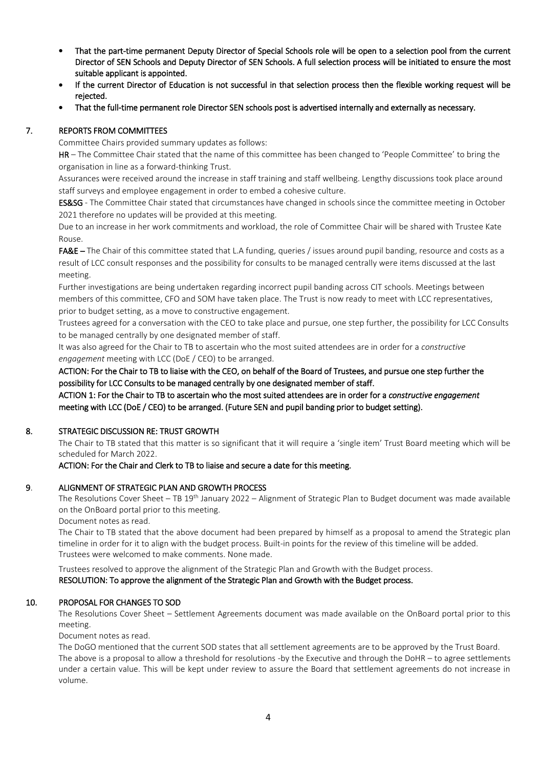- That the part-time permanent Deputy Director of Special Schools role will be open to a selection pool from the current Director of SEN Schools and Deputy Director of SEN Schools. A full selection process will be initiated to ensure the most suitable applicant is appointed.
- If the current Director of Education is not successful in that selection process then the flexible working request will be rejected.
- That the full-time permanent role Director SEN schools post is advertised internally and externally as necessary.

# 7. REPORTS FROM COMMITTEES

Committee Chairs provided summary updates as follows:

HR – The Committee Chair stated that the name of this committee has been changed to 'People Committee' to bring the organisation in line as a forward-thinking Trust.

Assurances were received around the increase in staff training and staff wellbeing. Lengthy discussions took place around staff surveys and employee engagement in order to embed a cohesive culture.

ES&SG - The Committee Chair stated that circumstances have changed in schools since the committee meeting in October 2021 therefore no updates will be provided at this meeting.

Due to an increase in her work commitments and workload, the role of Committee Chair will be shared with Trustee Kate Rouse.

FA&E – The Chair of this committee stated that L.A funding, queries / issues around pupil banding, resource and costs as a result of LCC consult responses and the possibility for consults to be managed centrally were items discussed at the last meeting.

Further investigations are being undertaken regarding incorrect pupil banding across CIT schools. Meetings between members of this committee, CFO and SOM have taken place. The Trust is now ready to meet with LCC representatives, prior to budget setting, as a move to constructive engagement.

Trustees agreed for a conversation with the CEO to take place and pursue, one step further, the possibility for LCC Consults to be managed centrally by one designated member of staff.

It was also agreed for the Chair to TB to ascertain who the most suited attendees are in order for a *constructive engagement* meeting with LCC (DoE / CEO) to be arranged.

ACTION: For the Chair to TB to liaise with the CEO, on behalf of the Board of Trustees, and pursue one step further the possibility for LCC Consults to be managed centrally by one designated member of staff.

ACTION 1: For the Chair to TB to ascertain who the most suited attendees are in order for a *constructive engagement* meeting with LCC (DoE / CEO) to be arranged. (Future SEN and pupil banding prior to budget setting).

## 8. STRATEGIC DISCUSSION RE: TRUST GROWTH

The Chair to TB stated that this matter is so significant that it will require a 'single item' Trust Board meeting which will be scheduled for March 2022.

#### ACTION: For the Chair and Clerk to TB to liaise and secure a date for this meeting.

## 9. ALIGNMENT OF STRATEGIC PLAN AND GROWTH PROCESS

The Resolutions Cover Sheet – TB 19<sup>th</sup> January 2022 – Alignment of Strategic Plan to Budget document was made available on the OnBoard portal prior to this meeting.

Document notes as read.

The Chair to TB stated that the above document had been prepared by himself as a proposal to amend the Strategic plan timeline in order for it to align with the budget process. Built-in points for the review of this timeline will be added. Trustees were welcomed to make comments. None made.

Trustees resolved to approve the alignment of the Strategic Plan and Growth with the Budget process.

RESOLUTION: To approve the alignment of the Strategic Plan and Growth with the Budget process.

## 10. PROPOSAL FOR CHANGES TO SOD

 The Resolutions Cover Sheet – Settlement Agreements document was made available on the OnBoard portal prior to this meeting.

Document notes as read.

The DoGO mentioned that the current SOD states that all settlement agreements are to be approved by the Trust Board. The above is a proposal to allow a threshold for resolutions -by the Executive and through the DoHR – to agree settlements under a certain value. This will be kept under review to assure the Board that settlement agreements do not increase in volume.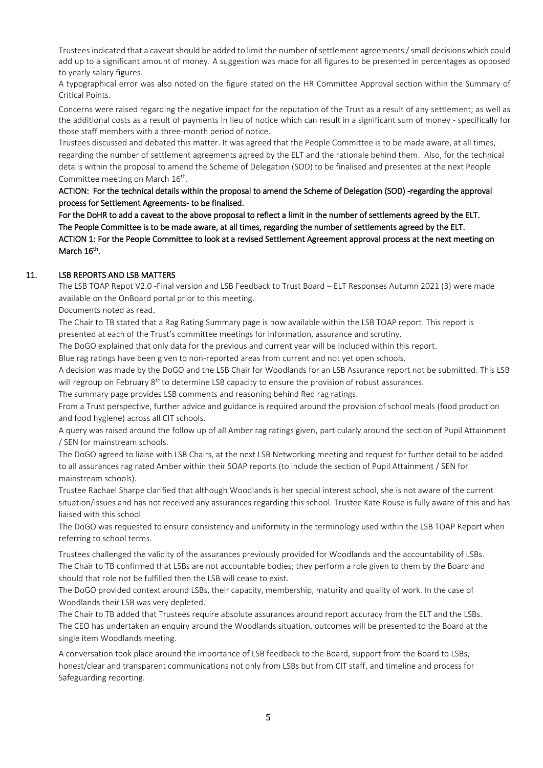Trustees indicated that a caveat should be added to limit the number of settlement agreements / small decisions which could add up to a significant amount of money. A suggestion was made for all figures to be presented in percentages as opposed to yearly salary figures.

A typographical error was also noted on the figure stated on the HR Committee Approval section within the Summary of Critical Points.

Concerns were raised regarding the negative impact for the reputation of the Trust as a result of any settlement; as well as the additional costs as a result of payments in lieu of notice which can result in a significant sum of money - specifically for those staff members with a three-month period of notice.

Trustees discussed and debated this matter. It was agreed that the People Committee is to be made aware, at all times, regarding the number of settlement agreements agreed by the ELT and the rationale behind them. Also, for the technical details within the proposal to amend the Scheme of Delegation (SOD) to be finalised and presented at the next People Committee meeting on March 16<sup>th</sup>.

ACTION: For the technical details within the proposal to amend the Scheme of Delegation (SOD) -regarding the approval process for Settlement Agreements- to be finalised.

For the DoHR to add a caveat to the above proposal to reflect a limit in the number of settlements agreed by the ELT. The People Committee is to be made aware, at all times, regarding the number of settlements agreed by the ELT. ACTION 1: For the People Committee to look at a revised Settlement Agreement approval process at the next meeting on March 16<sup>th</sup>.

## 11. LSB REPORTS AND LSB MATTERS

The LSB TOAP Repot V2.0 -Final version and LSB Feedback to Trust Board – ELT Responses Autumn 2021 (3) were made available on the OnBoard portal prior to this meeting.

Documents noted as read.

The Chair to TB stated that a Rag Rating Summary page is now available within the LSB TOAP report. This report is presented at each of the Trust's committee meetings for information, assurance and scrutiny.

The DoGO explained that only data for the previous and current year will be included within this report.

Blue rag ratings have been given to non-reported areas from current and not yet open schools.

A decision was made by the DoGO and the LSB Chair for Woodlands for an LSB Assurance report not be submitted. This LSB will regroup on February  $8<sup>th</sup>$  to determine LSB capacity to ensure the provision of robust assurances.

The summary page provides LSB comments and reasoning behind Red rag ratings.

From a Trust perspective, further advice and guidance is required around the provision of school meals (food production and food hygiene) across all CIT schools.

A query was raised around the follow up of all Amber rag ratings given, particularly around the section of Pupil Attainment / SEN for mainstream schools.

The DoGO agreed to liaise with LSB Chairs, at the next LSB Networking meeting and request for further detail to be added to all assurances rag rated Amber within their SOAP reports (to include the section of Pupil Attainment / SEN for mainstream schools).

Trustee Rachael Sharpe clarified that although Woodlands is her special interest school, she is not aware of the current situation/issues and has not received any assurances regarding this school. Trustee Kate Rouse is fully aware of this and has liaised with this school.

The DoGO was requested to ensure consistency and uniformity in the terminology used within the LSB TOAP Report when referring to school terms.

Trustees challenged the validity of the assurances previously provided for Woodlands and the accountability of LSBs. The Chair to TB confirmed that LSBs are not accountable bodies; they perform a role given to them by the Board and should that role not be fulfilled then the LSB will cease to exist.

The DoGO provided context around LSBs, their capacity, membership, maturity and quality of work. In the case of Woodlands their LSB was very depleted.

The Chair to TB added that Trustees require absolute assurances around report accuracy from the ELT and the LSBs. The CEO has undertaken an enquiry around the Woodlands situation, outcomes will be presented to the Board at the single item Woodlands meeting.

A conversation took place around the importance of LSB feedback to the Board, support from the Board to LSBs, honest/clear and transparent communications not only from LSBs but from CIT staff, and timeline and process for Safeguarding reporting.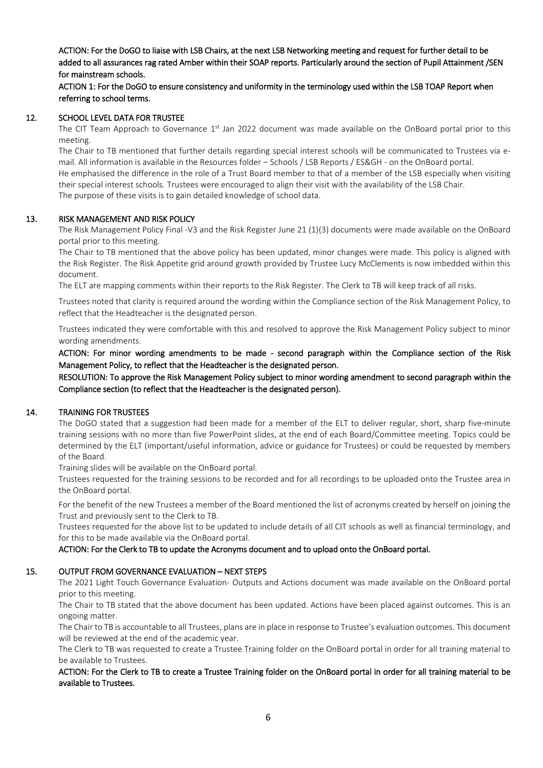ACTION: For the DoGO to liaise with LSB Chairs, at the next LSB Networking meeting and request for further detail to be added to all assurances rag rated Amber within their SOAP reports. Particularly around the section of Pupil Attainment /SEN for mainstream schools.

ACTION 1: For the DoGO to ensure consistency and uniformity in the terminology used within the LSB TOAP Report when referring to school terms.

### 12. SCHOOL LEVEL DATA FOR TRUSTEE

The CIT Team Approach to Governance  $1<sup>st</sup>$  Jan 2022 document was made available on the OnBoard portal prior to this meeting.

The Chair to TB mentioned that further details regarding special interest schools will be communicated to Trustees via email. All information is available in the Resources folder – Schools / LSB Reports / ES&GH - on the OnBoard portal. He emphasised the difference in the role of a Trust Board member to that of a member of the LSB especially when visiting their special interest schools. Trustees were encouraged to align their visit with the availability of the LSB Chair. The purpose of these visits is to gain detailed knowledge of school data.

### 13. RISK MANAGEMENT AND RISK POLICY

The Risk Management Policy Final -V3 and the Risk Register June 21 (1)(3) documents were made available on the OnBoard portal prior to this meeting.

The Chair to TB mentioned that the above policy has been updated, minor changes were made. This policy is aligned with the Risk Register. The Risk Appetite grid around growth provided by Trustee Lucy McClements is now imbedded within this document.

The ELT are mapping comments within their reports to the Risk Register. The Clerk to TB will keep track of all risks.

Trustees noted that clarity is required around the wording within the Compliance section of the Risk Management Policy, to reflect that the Headteacher is the designated person.

Trustees indicated they were comfortable with this and resolved to approve the Risk Management Policy subject to minor wording amendments.

ACTION: For minor wording amendments to be made - second paragraph within the Compliance section of the Risk Management Policy, to reflect that the Headteacher is the designated person.

RESOLUTION: To approve the Risk Management Policy subject to minor wording amendment to second paragraph within the Compliance section (to reflect that the Headteacher is the designated person).

#### 14. TRAINING FOR TRUSTEES

The DoGO stated that a suggestion had been made for a member of the ELT to deliver regular, short, sharp five-minute training sessions with no more than five PowerPoint slides, at the end of each Board/Committee meeting. Topics could be determined by the ELT (important/useful information, advice or guidance for Trustees) or could be requested by members of the Board.

Training slides will be available on the OnBoard portal.

Trustees requested for the training sessions to be recorded and for all recordings to be uploaded onto the Trustee area in the OnBoard portal.

For the benefit of the new Trustees a member of the Board mentioned the list of acronyms created by herself on joining the Trust and previously sent to the Clerk to TB.

Trustees requested for the above list to be updated to include details of all CIT schools as well as financial terminology, and for this to be made available via the OnBoard portal.

#### ACTION: For the Clerk to TB to update the Acronyms document and to upload onto the OnBoard portal.

#### 15. OUTPUT FROM GOVERNANCE EVALUATION – NEXT STEPS

The 2021 Light Touch Governance Evaluation- Outputs and Actions document was made available on the OnBoard portal prior to this meeting.

The Chair to TB stated that the above document has been updated. Actions have been placed against outcomes. This is an ongoing matter.

The Chair to TB is accountable to all Trustees, plans are in place in response to Trustee's evaluation outcomes. This document will be reviewed at the end of the academic year.

The Clerk to TB was requested to create a Trustee Training folder on the OnBoard portal in order for all training material to be available to Trustees.

### ACTION: For the Clerk to TB to create a Trustee Training folder on the OnBoard portal in order for all training material to be available to Trustees.